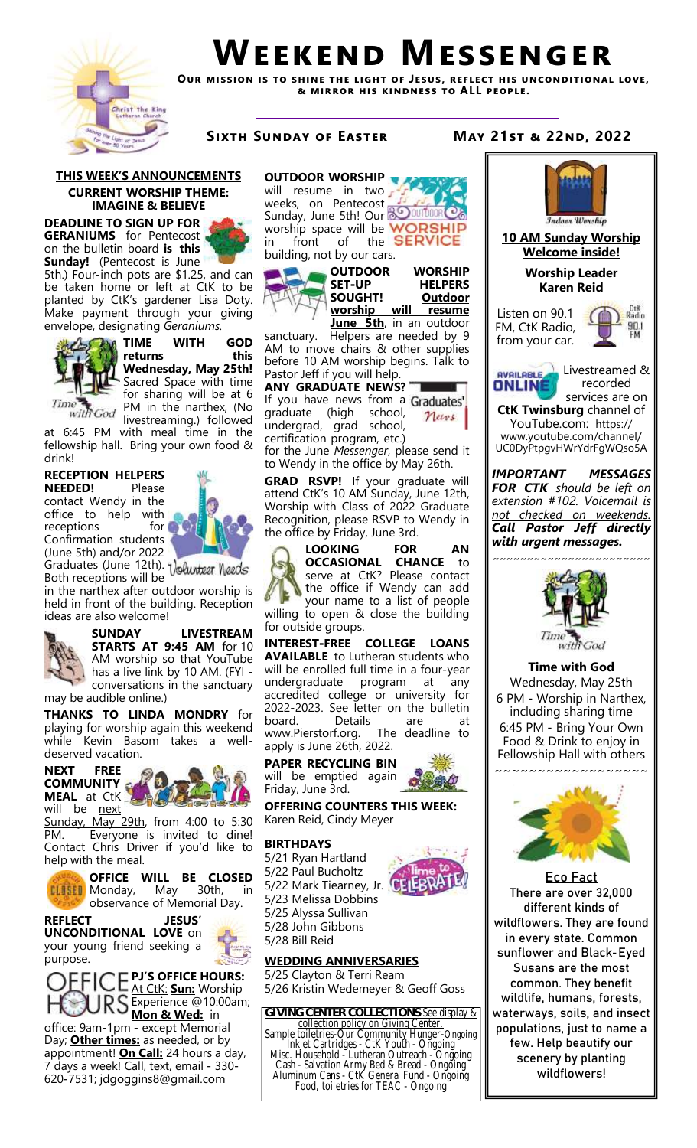

# **Weekend Messenger**

**Our mission is to shine the light of Jesus, reflect his unconditional love, & mirror his kindness to ALL people.**

#### **THIS WEEK'S ANNOUNCEMENTS CURRENT WORSHIP THEME: IMAGINE & BELIEVE**

**DEADLINE TO SIGN UP FOR GERANIUMS** for Pentecost on the bulletin board **is this Sunday!** (Pentecost is June

5th.) Four-inch pots are \$1.25, and can be taken home or left at CtK to be planted by CtK's gardener Lisa Doty. Make payment through your giving envelope, designating *Geraniums.*



**TIME WITH GOD returns this Wednesday, May 25th!**  Sacred Space with time for sharing will be at 6 PM in the narthex, (No livestreaming.) followed

at 6:45 PM with meal time in the fellowship hall. Bring your own food & drink!

## **RECEPTION HELPERS**

**NEEDED!** Please contact Wendy in the office to help with receptions for **for** Confirmation students (June 5th) and/or 2022

Graduates (June 12th). Both receptions will be

in the narthex after outdoor worship is held in front of the building. Reception ideas are also welcome!



**SUNDAY LIVESTREAM STARTS AT 9:45 AM** for 10 AM worship so that YouTube has a live link by 10 AM. (FYI conversations in the sanctuary may be audible online.)

**THANKS TO LINDA MONDRY** for playing for worship again this weekend while Kevin Basom takes a welldeserved vacation.



Sunday, May 29th, from 4:00 to 5:30 PM. Everyone is invited to dine! Contact Chris Driver if you'd like to help with the meal.



**OFFICE WILL BE CLOSED**<br>Monday, May 30th, in **CLUSED** Monday, May 30th, in observance of Memorial Day.

**REFLECT JESUS' UNCONDITIONAL LOVE** on your young friend seeking a purpose.



office: 9am-1pm - except Memorial Day; **Other times:** as needed, or by appointment! **On Call:** 24 hours a day, 7 days a week! Call, text, email - 330- 620-7531; jdgoggins8@gmail.com

# **OUTDOOR WORSHIP**

will resume in two weeks, on Pentecost Sunday, June 5th! Our **BO OUT DOG COM** worship space will be WORSHI in front of the **SERVICE** building, not by our cars.





sanctuary. Helpers are needed by 9 AM to move chairs & other supplies before 10 AM worship begins. Talk to Pastor Jeff if you will help.

**ANY GRADUATE NEWS?**  If you have news from a Graduates' graduate (high school, News undergrad, grad school, certification program, etc.)

for the June *Messenger*, please send it to Wendy in the office by May 26th.

**GRAD RSVP!** If your graduate will attend CtK's 10 AM Sunday, June 12th, Worship with Class of 2022 Graduate Recognition, please RSVP to Wendy in the office by Friday, June 3rd.



**LOOKING FOR AN OCCASIONAL CHANCE** to serve at CtK? Please contact the office if Wendy can add your name to a list of people willing to open & close the building for outside groups.

**INTEREST-FREE COLLEGE LOANS AVAILABLE** to Lutheran students who will be enrolled full time in a four-year undergraduate program at any accredited college or university for 2022-2023. See letter on the bulletin board. Details are at www.Pierstorf.org. The deadline to apply is June 26th, 2022.

**PAPER RECYCLING BIN**  will be emptied again Friday, June 3rd.

**OFFERING COUNTERS THIS WEEK:** Karen Reid, Cindy Meyer

#### **BIRTHDAYS**

5/21 Ryan Hartland 5/22 Paul Bucholtz 5/22 Mark Tiearney, Jr. 5/23 Melissa Dobbins 5/25 Alyssa Sullivan 5/28 John Gibbons 5/28 Bill Reid



**WEDDING ANNIVERSARIES** 5/25 Clayton & Terri Ream



collection policy on Giving Center.

Aluminum Cans - CtK General Fund - Ongoing Food, toiletries for TEAC - Ongoing

common. They benefit wildlife, humans, forests, populations, just to name a few. Help beautify our scenery by planting wildflowers!

### **Sixth Sunday of Easter May 21st & 22nd, 2022**